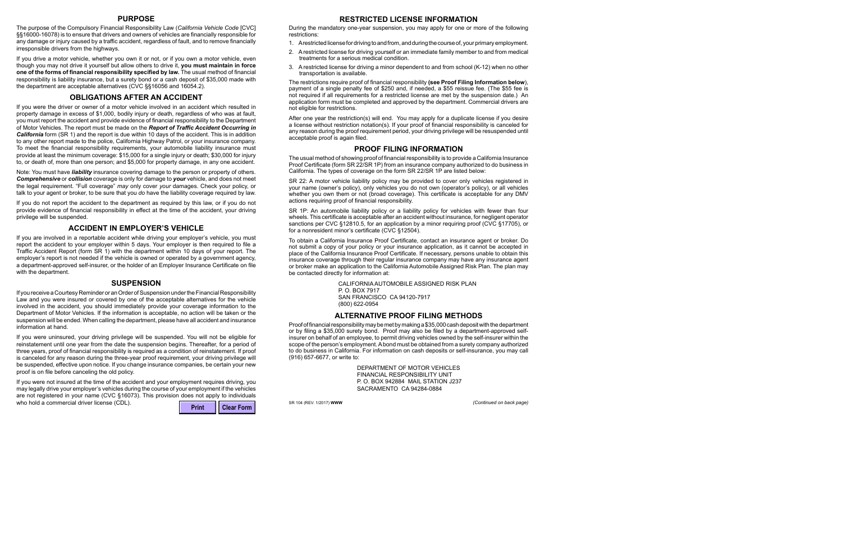# **PURPOSE**

The purpose of the Compulsory Financial Responsibility Law (*California Vehicle Code* [CVC] §§16000-16078) is to ensure that drivers and owners of vehicles are financially responsible for any damage or injury caused by a traffic accident, regardless of fault, and to remove financially irresponsible drivers from the highways.

If you drive a motor vehicle, whether you own it or not, or if you own a motor vehicle, even though you may not drive it yourself but allow others to drive it, **you must maintain in force one of the forms of financial responsibility specified by law.** The usual method of financial responsibility is liability insurance, but a surety bond or a cash deposit of \$35,000 made with the department are acceptable alternatives (CVC §§16056 and 16054.2).

### **OBLIGATIONS AFTER AN ACCIDENT**

If you were the driver or owner of a motor vehicle involved in an accident which resulted in property damage in excess of \$1,000, bodily injury or death, regardless of who was at fault, you must report the accident and provide evidence of financial responsibility to the Department of Motor Vehicles. The report must be made on the *Report of Traffic Accident Occurring in California* form (SR 1) and the report is due within 10 days of the accident. This is in addition to any other report made to the police, California Highway Patrol, or your insurance company. To meet the financial responsibility requirements, your automobile liability insurance must provide at least the minimum coverage: \$15,000 for a single injury or death; \$30,000 for injury to, or death of, more than one person; and \$5,000 for property damage, in any one accident.

Note: You must have *liability* insurance covering damage to the person or property of others. *Comprehensive* or *collision* coverage is only for damage to *your* vehicle, and does not meet the legal requirement. "Full coverage" *may* only cover *your* damages. Check your policy, or talk to your agent or broker, to be sure that you *do* have the liability coverage required by law.

If you do not report the accident to the department as required by this law, or if you do not provide evidence of financial responsibility in effect at the time of the accident, your driving privilege will be suspended.

# **ACCIDENT IN EMPLOYER'S VEHICLE**

If you are involved in a reportable accident while driving your employer's vehicle, you must report the accident to your employer within 5 days. Your employer is then required to file a Traffic Accident Report (form SR 1) with the department within 10 days of your report. The employer's report is not needed if the vehicle is owned or operated by a government agency, a department-approved self-insurer, or the holder of an Employer Insurance Certificate on file with the department.

#### **SUSPENSION**

If you receive a Courtesy Reminder or an Order of Suspension under the Financial Responsibility Law and you were insured or covered by one of the acceptable alternatives for the vehicle involved in the accident, you should immediately provide your coverage information to the Department of Motor Vehicles. If the information is acceptable, no action will be taken or the suspension will be ended. When calling the department, please have all accident and insurance information at hand.

If you were uninsured, your driving privilege will be suspended. You will not be eligible for reinstatement until one year from the date the suspension begins. Thereafter, for a period of three years, proof of financial responsibility is required as a condition of reinstatement. If proof is canceled for any reason during the three-year proof requirement, your driving privilege will be suspended, effective upon notice. If you change insurance companies, be certain your new proof is on file before canceling the old policy.

If you were not insured at the time of the accident and your employment requires driving, you may legally drive your employer's vehicles during the course of your employment if the vehicles are not registered in your name (CVC §16073). This provision does not apply to individuals

who hold a commercial driver license (CDL).

| Print | Clear Form |
|-------|------------|
|-------|------------|

# **RESTRICTED LICENSE INFORMATION**

During the mandatory one-year suspension, you may apply for one or more of the following restrictions:

- 1. A restricted license for driving to and from, and during the course of, your primary employment.
- 2. A restricted license for driving yourself or an immediate family member to and from medical treatments for a serious medical condition.
- 3. A restricted license for driving a minor dependent to and from school (K-12) when no other transportation is available.

The restrictions require proof of financial responsibility **(see Proof Filing Information below**), payment of a single penalty fee of \$250 and, if needed, a \$55 reissue fee. (The \$55 fee is not required if all requirements for a restricted license are met by the suspension date.) An application form must be completed and approved by the department. Commercial drivers are not eligible for restrictions.

After one year the restriction(s) will end. You may apply for a duplicate license if you desire a license without restriction notation(s). If your proof of financial responsibility is canceled for any reason during the proof requirement period, your driving privilege will be resuspended until acceptable proof is again filed.

# **PROOF FILING INFORMATION**

The usual method of showing proof of financial responsibility is to provide a California Insurance Proof Certificate (form SR 22/SR 1P) from an insurance company authorized to do business in California. The types of coverage on the form SR 22/SR 1P are listed below:

SR 22: A motor vehicle liability policy may be provided to cover only vehicles registered in your name (owner's policy), only vehicles you do not own (operator's policy), or all vehicles whether you own them or not (broad coverage). This certificate is acceptable for any DMV actions requiring proof of financial responsibility.

SR 1P: An automobile liability policy or a liability policy for vehicles with fewer than four wheels. This certificate is acceptable after an accident without insurance, for negligent operator sanctions per CVC §12810.5, for an application by a minor requiring proof (CVC §17705), or for a nonresident minor's certificate (CVC §12504).

To obtain a California Insurance Proof Certificate, contact an insurance agent or broker. Do not submit a copy of your policy or your insurance application, as it cannot be accepted in place of the California Insurance Proof Certificate. If necessary, persons unable to obtain this insurance coverage through their regular insurance company may have any insurance agent or broker make an application to the California Automobile Assigned Risk Plan. The plan may be contacted directly for information at:

> CALIFORNIA AUTOMOBILE ASSIGNED RISK PLAN P. O. BOX 7917 SAN FRANCISCO CA 94120-7917 (800) 622-0954

# **ALTERNATIVE PROOF FILING METHODS**

Proof of financial responsibility may be met by making a \$35,000 cash deposit with the department or by filing a \$35,000 surety bond. Proof may also be filed by a department-approved selfinsurer on behalf of an employee, to permit driving vehicles owned by the self-insurer within the scope of the person's employment. A bond must be obtained from a surety company authorized to do business in California. For information on cash deposits or self-insurance, you may call (916) 657-6677, or write to:

> DEPARTMENT OF MOTOR VEHICLES FINANCIAL RESPONSIBILITY UNIT P. O. BOX 942884 MAIL STATION J237 SACRAMENTO CA 94284-0884